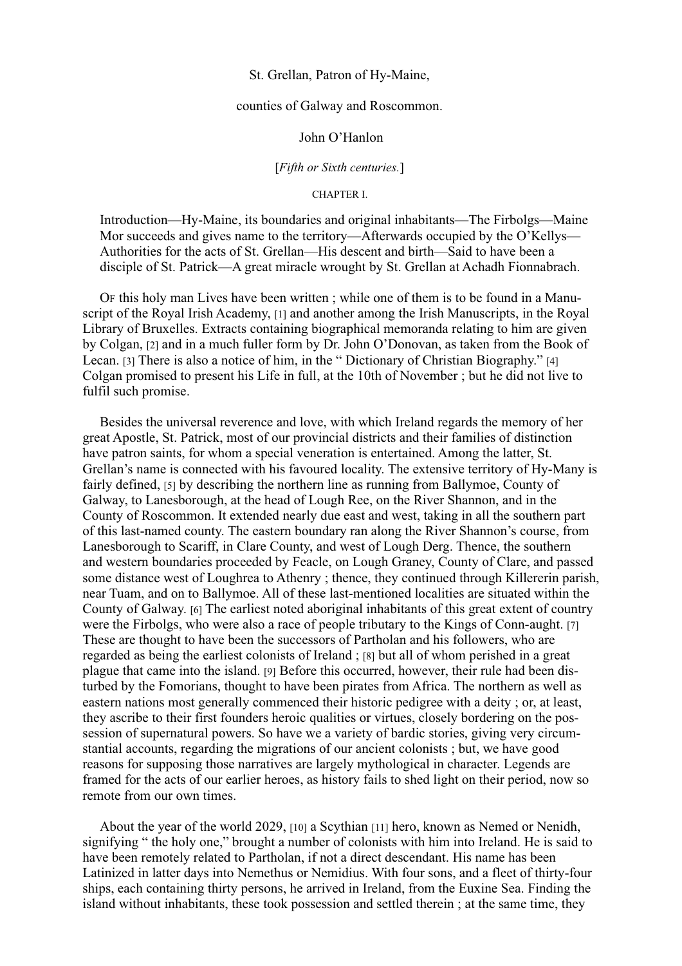### St. Grellan, Patron of Hy-Maine,

# counties of Galway and Roscommon.

### John O'Hanlon

#### [*Fifth or Sixth centuries.*]

## CHAPTER I.

Introduction—Hy-Maine, its boundaries and original inhabitants—The Firbolgs—Maine Mor succeeds and gives name to the territory—Afterwards occupied by the O'Kellys— Authorities for the acts of St. Grellan—His descent and birth—Said to have been a disciple of St. Patrick—A great miracle wrought by St. Grellan at Achadh Fionnabrach.

OF this holy man Lives have been written ; while one of them is to be found in a Manuscript of the Royal Irish Academy, [1] and another among the Irish Manuscripts, in the Royal Library of Bruxelles. Extracts containing biographical memoranda relating to him are given by Colgan, [2] and in a much fuller form by Dr. John O'Donovan, as taken from the Book of Lecan. [3] There is also a notice of him, in the " Dictionary of Christian Biography." [4] Colgan promised to present his Life in full, at the 10th of November ; but he did not live to fulfil such promise.

Besides the universal reverence and love, with which Ireland regards the memory of her great Apostle, St. Patrick, most of our provincial districts and their families of distinction have patron saints, for whom a special veneration is entertained. Among the latter, St. Grellan's name is connected with his favoured locality. The extensive territory of Hy-Many is fairly defined, [5] by describing the northern line as running from Ballymoe, County of Galway, to Lanesborough, at the head of Lough Ree, on the River Shannon, and in the County of Roscommon. It extended nearly due east and west, taking in all the southern part of this last-named county. The eastern boundary ran along the River Shannon's course, from Lanesborough to Scariff, in Clare County, and west of Lough Derg. Thence, the southern and western boundaries proceeded by Feacle, on Lough Graney, County of Clare, and passed some distance west of Loughrea to Athenry ; thence, they continued through Killererin parish, near Tuam, and on to Ballymoe. All of these last-mentioned localities are situated within the County of Galway. [6] The earliest noted aboriginal inhabitants of this great extent of country were the Firbolgs, who were also a race of people tributary to the Kings of Conn-aught. [7] These are thought to have been the successors of Partholan and his followers, who are regarded as being the earliest colonists of Ireland ; [8] but all of whom perished in a great plague that came into the island. [9] Before this occurred, however, their rule had been disturbed by the Fomorians, thought to have been pirates from Africa. The northern as well as eastern nations most generally commenced their historic pedigree with a deity ; or, at least, they ascribe to their first founders heroic qualities or virtues, closely bordering on the possession of supernatural powers. So have we a variety of bardic stories, giving very circumstantial accounts, regarding the migrations of our ancient colonists ; but, we have good reasons for supposing those narratives are largely mythological in character. Legends are framed for the acts of our earlier heroes, as history fails to shed light on their period, now so remote from our own times.

About the year of the world 2029, [10] a Scythian [11] hero, known as Nemed or Nenidh, signifying " the holy one," brought a number of colonists with him into Ireland. He is said to have been remotely related to Partholan, if not a direct descendant. His name has been Latinized in latter days into Nemethus or Nemidius. With four sons, and a fleet of thirty-four ships, each containing thirty persons, he arrived in Ireland, from the Euxine Sea. Finding the island without inhabitants, these took possession and settled therein ; at the same time, they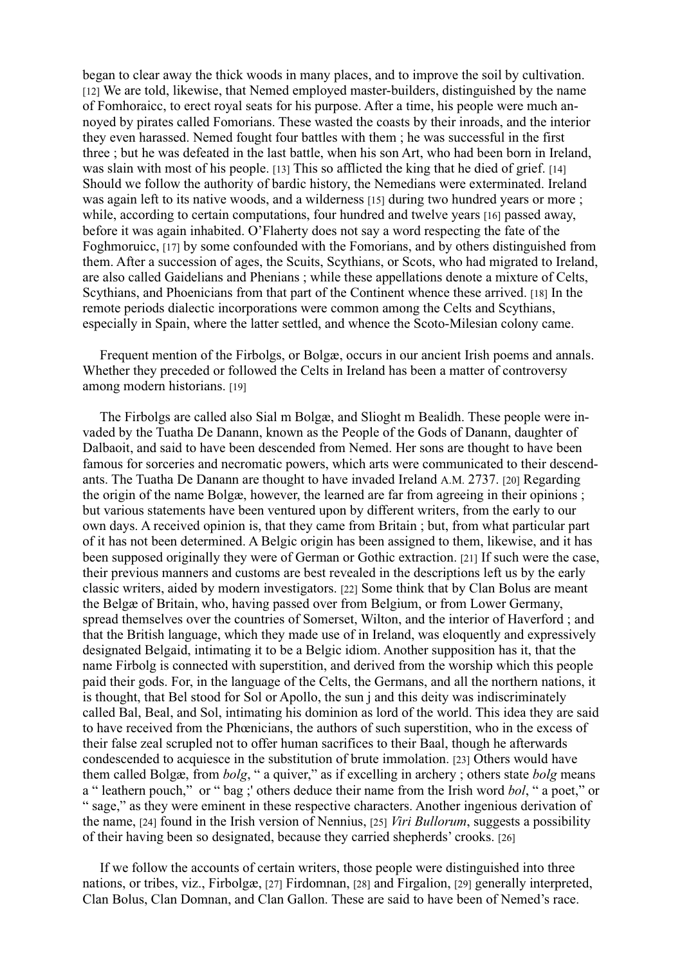began to clear away the thick woods in many places, and to improve the soil by cultivation. [12] We are told, likewise, that Nemed employed master-builders, distinguished by the name of Fomhoraicc, to erect royal seats for his purpose. After a time, his people were much annoyed by pirates called Fomorians. These wasted the coasts by their inroads, and the interior they even harassed. Nemed fought four battles with them ; he was successful in the first three ; but he was defeated in the last battle, when his son Art, who had been born in Ireland, was slain with most of his people. [13] This so afflicted the king that he died of grief. [14] Should we follow the authority of bardic history, the Nemedians were exterminated. Ireland was again left to its native woods, and a wilderness [15] during two hundred years or more ; while, according to certain computations, four hundred and twelve years [16] passed away. before it was again inhabited. O'Flaherty does not say a word respecting the fate of the Foghmoruicc, [17] by some confounded with the Fomorians, and by others distinguished from them. After a succession of ages, the Scuits, Scythians, or Scots, who had migrated to Ireland, are also called Gaidelians and Phenians ; while these appellations denote a mixture of Celts, Scythians, and Phoenicians from that part of the Continent whence these arrived. [18] In the remote periods dialectic incorporations were common among the Celts and Scythians, especially in Spain, where the latter settled, and whence the Scoto-Milesian colony came.

Frequent mention of the Firbolgs, or Bolgæ, occurs in our ancient Irish poems and annals. Whether they preceded or followed the Celts in Ireland has been a matter of controversy among modern historians. [19]

The Firbolgs are called also Sial m Bolgæ, and Slioght m Bealidh. These people were invaded by the Tuatha De Danann, known as the People of the Gods of Danann, daughter of Dalbaoit, and said to have been descended from Nemed. Her sons are thought to have been famous for sorceries and necromatic powers, which arts were communicated to their descendants. The Tuatha De Danann are thought to have invaded Ireland A.M. 2737. [20] Regarding the origin of the name Bolgæ, however, the learned are far from agreeing in their opinions ; but various statements have been ventured upon by different writers, from the early to our own days. A received opinion is, that they came from Britain ; but, from what particular part of it has not been determined. A Belgic origin has been assigned to them, likewise, and it has been supposed originally they were of German or Gothic extraction. [21] If such were the case, their previous manners and customs are best revealed in the descriptions left us by the early classic writers, aided by modern investigators. [22] Some think that by Clan Bolus are meant the Belgæ of Britain, who, having passed over from Belgium, or from Lower Germany, spread themselves over the countries of Somerset, Wilton, and the interior of Haverford ; and that the British language, which they made use of in Ireland, was eloquently and expressively designated Belgaid, intimating it to be a Belgic idiom. Another supposition has it, that the name Firbolg is connected with superstition, and derived from the worship which this people paid their gods. For, in the language of the Celts, the Germans, and all the northern nations, it is thought, that Bel stood for Sol or Apollo, the sun j and this deity was indiscriminately called Bal, Beal, and Sol, intimating his dominion as lord of the world. This idea they are said to have received from the Phœnicians, the authors of such superstition, who in the excess of their false zeal scrupled not to offer human sacrifices to their Baal, though he afterwards condescended to acquiesce in the substitution of brute immolation. [23] Others would have them called Bolgæ, from *bolg*, " a quiver," as if excelling in archery ; others state *bolg* means a " leathern pouch," or " bag ;' others deduce their name from the Irish word *bol*, " a poet," or " sage," as they were eminent in these respective characters. Another ingenious derivation of the name, [24] found in the Irish version of Nennius, [25] *Viri Bullorum*, suggests a possibility of their having been so designated, because they carried shepherds' crooks. [26]

If we follow the accounts of certain writers, those people were distinguished into three nations, or tribes, viz., Firbolgæ, [27] Firdomnan, [28] and Firgalion, [29] generally interpreted, Clan Bolus, Clan Domnan, and Clan Gallon. These are said to have been of Nemed's race.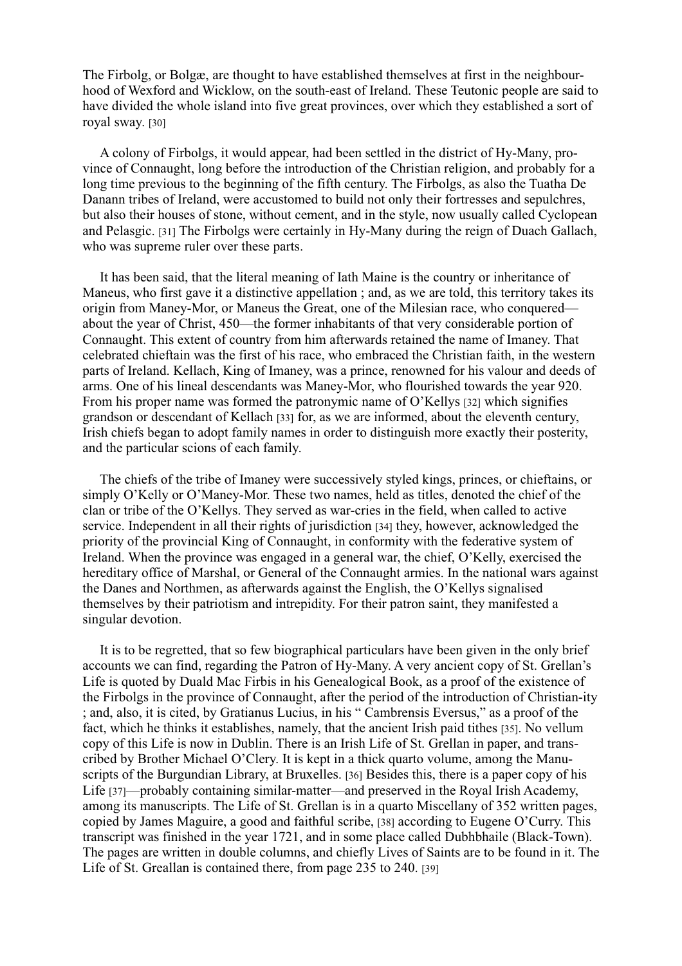The Firbolg, or Bolgæ, are thought to have established themselves at first in the neighbourhood of Wexford and Wicklow, on the south-east of Ireland. These Teutonic people are said to have divided the whole island into five great provinces, over which they established a sort of royal sway. [30]

A colony of Firbolgs, it would appear, had been settled in the district of Hy-Many, province of Connaught, long before the introduction of the Christian religion, and probably for a long time previous to the beginning of the fifth century. The Firbolgs, as also the Tuatha De Danann tribes of Ireland, were accustomed to build not only their fortresses and sepulchres, but also their houses of stone, without cement, and in the style, now usually called Cyclopean and Pelasgic. [31] The Firbolgs were certainly in Hy-Many during the reign of Duach Gallach, who was supreme ruler over these parts.

It has been said, that the literal meaning of Iath Maine is the country or inheritance of Maneus, who first gave it a distinctive appellation ; and, as we are told, this territory takes its origin from Maney-Mor, or Maneus the Great, one of the Milesian race, who conquered about the year of Christ, 450—the former inhabitants of that very considerable portion of Connaught. This extent of country from him afterwards retained the name of Imaney. That celebrated chieftain was the first of his race, who embraced the Christian faith, in the western parts of Ireland. Kellach, King of Imaney, was a prince, renowned for his valour and deeds of arms. One of his lineal descendants was Maney-Mor, who flourished towards the year 920. From his proper name was formed the patronymic name of O'Kellys [32] which signifies grandson or descendant of Kellach [33] for, as we are informed, about the eleventh century, Irish chiefs began to adopt family names in order to distinguish more exactly their posterity, and the particular scions of each family.

The chiefs of the tribe of Imaney were successively styled kings, princes, or chieftains, or simply O'Kelly or O'Maney-Mor. These two names, held as titles, denoted the chief of the clan or tribe of the O'Kellys. They served as war-cries in the field, when called to active service. Independent in all their rights of jurisdiction [34] they, however, acknowledged the priority of the provincial King of Connaught, in conformity with the federative system of Ireland. When the province was engaged in a general war, the chief, O'Kelly, exercised the hereditary office of Marshal, or General of the Connaught armies. In the national wars against the Danes and Northmen, as afterwards against the English, the O'Kellys signalised themselves by their patriotism and intrepidity. For their patron saint, they manifested a singular devotion.

It is to be regretted, that so few biographical particulars have been given in the only brief accounts we can find, regarding the Patron of Hy-Many. A very ancient copy of St. Grellan's Life is quoted by Duald Mac Firbis in his Genealogical Book, as a proof of the existence of the Firbolgs in the province of Connaught, after the period of the introduction of Christian-ity ; and, also, it is cited, by Gratianus Lucius, in his " Cambrensis Eversus," as a proof of the fact, which he thinks it establishes, namely, that the ancient Irish paid tithes [35]. No vellum copy of this Life is now in Dublin. There is an Irish Life of St. Grellan in paper, and transcribed by Brother Michael O'Clery. It is kept in a thick quarto volume, among the Manuscripts of the Burgundian Library, at Bruxelles. [36] Besides this, there is a paper copy of his Life [37]—probably containing similar-matter—and preserved in the Royal Irish Academy, among its manuscripts. The Life of St. Grellan is in a quarto Miscellany of 352 written pages, copied by James Maguire, a good and faithful scribe, [38] according to Eugene O'Curry. This transcript was finished in the year 1721, and in some place called Dubhbhaile (Black-Town). The pages are written in double columns, and chiefly Lives of Saints are to be found in it. The Life of St. Greallan is contained there, from page 235 to 240. [39]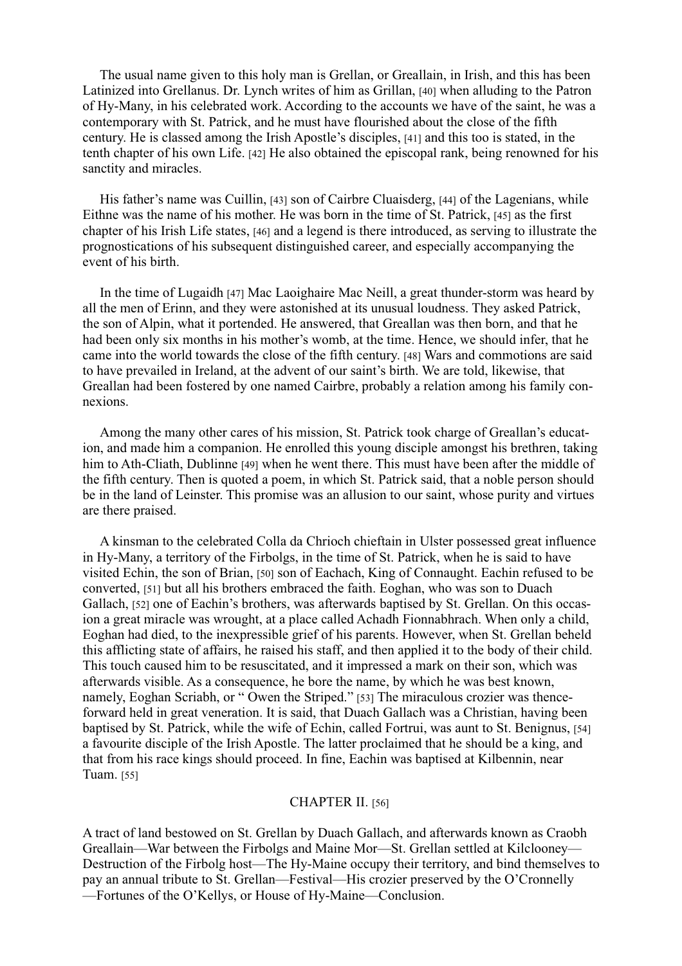The usual name given to this holy man is Grellan, or Greallain, in Irish, and this has been Latinized into Grellanus. Dr. Lynch writes of him as Grillan, [40] when alluding to the Patron of Hy-Many, in his celebrated work. According to the accounts we have of the saint, he was a contemporary with St. Patrick, and he must have flourished about the close of the fifth century. He is classed among the Irish Apostle's disciples, [41] and this too is stated, in the tenth chapter of his own Life. [42] He also obtained the episcopal rank, being renowned for his sanctity and miracles.

His father's name was Cuillin, [43] son of Cairbre Cluaisderg, [44] of the Lagenians, while Eithne was the name of his mother. He was born in the time of St. Patrick, [45] as the first chapter of his Irish Life states, [46] and a legend is there introduced, as serving to illustrate the prognostications of his subsequent distinguished career, and especially accompanying the event of his birth.

In the time of Lugaidh [47] Mac Laoighaire Mac Neill, a great thunder-storm was heard by all the men of Erinn, and they were astonished at its unusual loudness. They asked Patrick, the son of Alpin, what it portended. He answered, that Greallan was then born, and that he had been only six months in his mother's womb, at the time. Hence, we should infer, that he came into the world towards the close of the fifth century. [48] Wars and commotions are said to have prevailed in Ireland, at the advent of our saint's birth. We are told, likewise, that Greallan had been fostered by one named Cairbre, probably a relation among his family connexions.

Among the many other cares of his mission, St. Patrick took charge of Greallan's education, and made him a companion. He enrolled this young disciple amongst his brethren, taking him to Ath-Cliath, Dublinne [49] when he went there. This must have been after the middle of the fifth century. Then is quoted a poem, in which St. Patrick said, that a noble person should be in the land of Leinster. This promise was an allusion to our saint, whose purity and virtues are there praised.

A kinsman to the celebrated Colla da Chrioch chieftain in Ulster possessed great influence in Hy-Many, a territory of the Firbolgs, in the time of St. Patrick, when he is said to have visited Echin, the son of Brian, [50] son of Eachach, King of Connaught. Eachin refused to be converted, [51] but all his brothers embraced the faith. Eoghan, who was son to Duach Gallach, [52] one of Eachin's brothers, was afterwards baptised by St. Grellan. On this occasion a great miracle was wrought, at a place called Achadh Fionnabhrach. When only a child, Eoghan had died, to the inexpressible grief of his parents. However, when St. Grellan beheld this afflicting state of affairs, he raised his staff, and then applied it to the body of their child. This touch caused him to be resuscitated, and it impressed a mark on their son, which was afterwards visible. As a consequence, he bore the name, by which he was best known, namely, Eoghan Scriabh, or " Owen the Striped." [53] The miraculous crozier was thenceforward held in great veneration. It is said, that Duach Gallach was a Christian, having been baptised by St. Patrick, while the wife of Echin, called Fortrui, was aunt to St. Benignus, [54] a favourite disciple of the Irish Apostle. The latter proclaimed that he should be a king, and that from his race kings should proceed. In fine, Eachin was baptised at Kilbennin, near Tuam. [55]

#### CHAPTER II. [56]

A tract of land bestowed on St. Grellan by Duach Gallach, and afterwards known as Craobh Greallain—War between the Firbolgs and Maine Mor—St. Grellan settled at Kilclooney— Destruction of the Firbolg host—The Hy-Maine occupy their territory, and bind themselves to pay an annual tribute to St. Grellan—Festival—His crozier preserved by the O'Cronnelly —Fortunes of the O'Kellys, or House of Hy-Maine—Conclusion.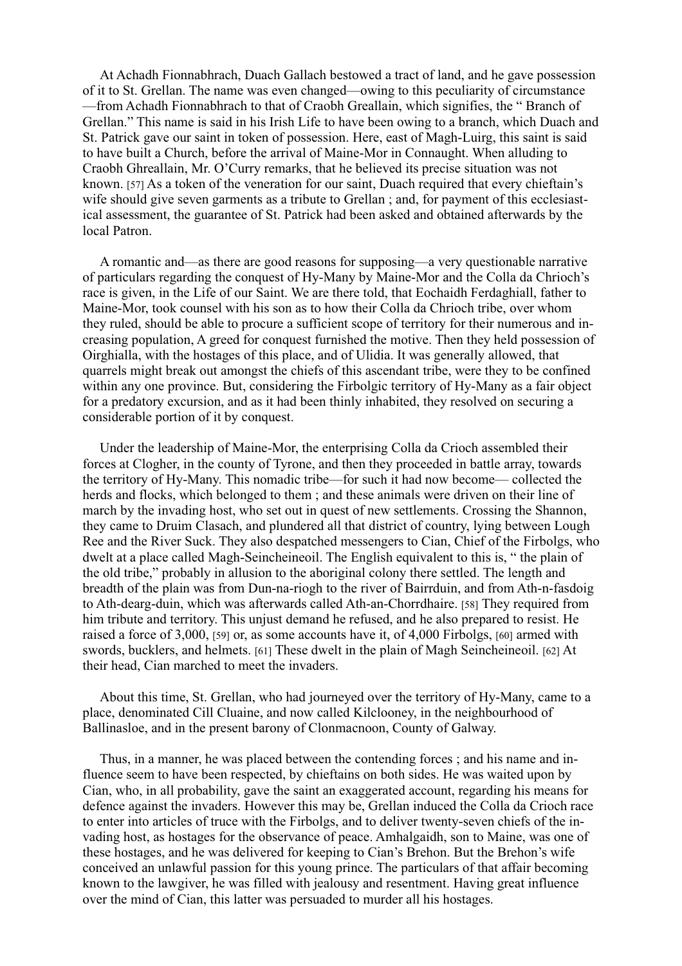At Achadh Fionnabhrach, Duach Gallach bestowed a tract of land, and he gave possession of it to St. Grellan. The name was even changed—owing to this peculiarity of circumstance —from Achadh Fionnabhrach to that of Craobh Greallain, which signifies, the " Branch of Grellan." This name is said in his Irish Life to have been owing to a branch, which Duach and St. Patrick gave our saint in token of possession. Here, east of Magh-Luirg, this saint is said to have built a Church, before the arrival of Maine-Mor in Connaught. When alluding to Craobh Ghreallain, Mr. O'Curry remarks, that he believed its precise situation was not known. [57] As a token of the veneration for our saint, Duach required that every chieftain's wife should give seven garments as a tribute to Grellan ; and, for payment of this ecclesiastical assessment, the guarantee of St. Patrick had been asked and obtained afterwards by the local Patron.

A romantic and—as there are good reasons for supposing—a very questionable narrative of particulars regarding the conquest of Hy-Many by Maine-Mor and the Colla da Chrioch's race is given, in the Life of our Saint. We are there told, that Eochaidh Ferdaghiall, father to Maine-Mor, took counsel with his son as to how their Colla da Chrioch tribe, over whom they ruled, should be able to procure a sufficient scope of territory for their numerous and increasing population, A greed for conquest furnished the motive. Then they held possession of Oirghialla, with the hostages of this place, and of Ulidia. It was generally allowed, that quarrels might break out amongst the chiefs of this ascendant tribe, were they to be confined within any one province. But, considering the Firbolgic territory of Hy-Many as a fair object for a predatory excursion, and as it had been thinly inhabited, they resolved on securing a considerable portion of it by conquest.

Under the leadership of Maine-Mor, the enterprising Colla da Crioch assembled their forces at Clogher, in the county of Tyrone, and then they proceeded in battle array, towards the territory of Hy-Many. This nomadic tribe—for such it had now become— collected the herds and flocks, which belonged to them ; and these animals were driven on their line of march by the invading host, who set out in quest of new settlements. Crossing the Shannon, they came to Druim Clasach, and plundered all that district of country, lying between Lough Ree and the River Suck. They also despatched messengers to Cian, Chief of the Firbolgs, who dwelt at a place called Magh-Seincheineoil. The English equivalent to this is, " the plain of the old tribe," probably in allusion to the aboriginal colony there settled. The length and breadth of the plain was from Dun-na-riogh to the river of Bairrduin, and from Ath-n-fasdoig to Ath-dearg-duin, which was afterwards called Ath-an-Chorrdhaire. [58] They required from him tribute and territory. This unjust demand he refused, and he also prepared to resist. He raised a force of 3,000, [59] or, as some accounts have it, of 4,000 Firbolgs, [60] armed with swords, bucklers, and helmets. [61] These dwelt in the plain of Magh Seincheineoil. [62] At their head, Cian marched to meet the invaders.

About this time, St. Grellan, who had journeyed over the territory of Hy-Many, came to a place, denominated Cill Cluaine, and now called Kilclooney, in the neighbourhood of Ballinasloe, and in the present barony of Clonmacnoon, County of Galway.

Thus, in a manner, he was placed between the contending forces ; and his name and influence seem to have been respected, by chieftains on both sides. He was waited upon by Cian, who, in all probability, gave the saint an exaggerated account, regarding his means for defence against the invaders. However this may be, Grellan induced the Colla da Crioch race to enter into articles of truce with the Firbolgs, and to deliver twenty-seven chiefs of the invading host, as hostages for the observance of peace. Amhalgaidh, son to Maine, was one of these hostages, and he was delivered for keeping to Cian's Brehon. But the Brehon's wife conceived an unlawful passion for this young prince. The particulars of that affair becoming known to the lawgiver, he was filled with jealousy and resentment. Having great influence over the mind of Cian, this latter was persuaded to murder all his hostages.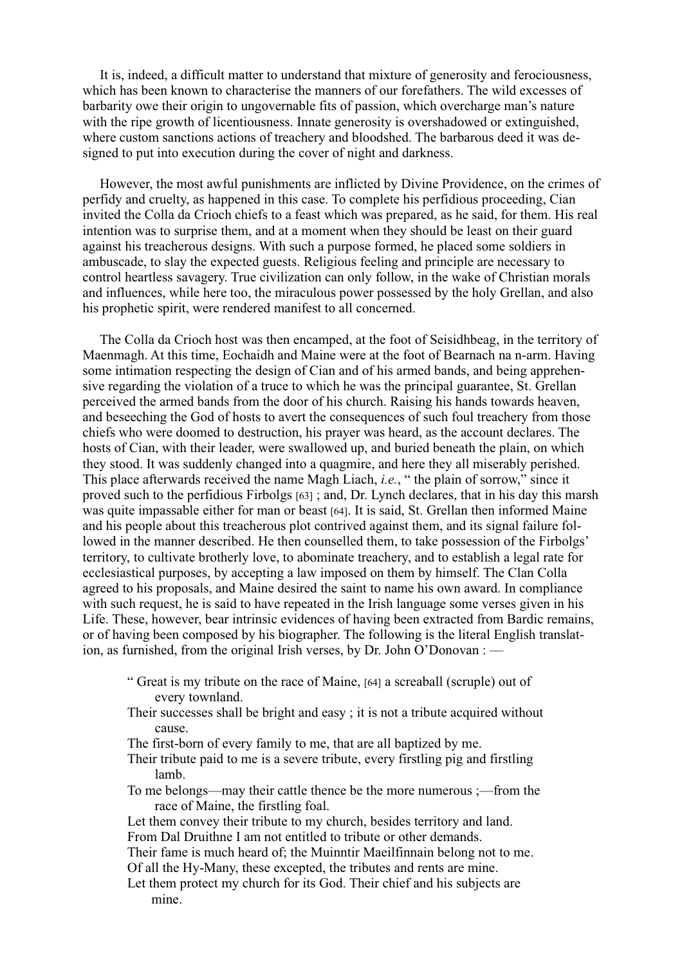It is, indeed, a difficult matter to understand that mixture of generosity and ferociousness, which has been known to characterise the manners of our forefathers. The wild excesses of barbarity owe their origin to ungovernable fits of passion, which overcharge man's nature with the ripe growth of licentiousness. Innate generosity is overshadowed or extinguished, where custom sanctions actions of treachery and bloodshed. The barbarous deed it was designed to put into execution during the cover of night and darkness.

However, the most awful punishments are inflicted by Divine Providence, on the crimes of perfidy and cruelty, as happened in this case. To complete his perfidious proceeding, Cian invited the Colla da Crioch chiefs to a feast which was prepared, as he said, for them. His real intention was to surprise them, and at a moment when they should be least on their guard against his treacherous designs. With such a purpose formed, he placed some soldiers in ambuscade, to slay the expected guests. Religious feeling and principle are necessary to control heartless savagery. True civilization can only follow, in the wake of Christian morals and influences, while here too, the miraculous power possessed by the holy Grellan, and also his prophetic spirit, were rendered manifest to all concerned.

The Colla da Crioch host was then encamped, at the foot of Seisidhbeag, in the territory of Maenmagh. At this time, Eochaidh and Maine were at the foot of Bearnach na n-arm. Having some intimation respecting the design of Cian and of his armed bands, and being apprehensive regarding the violation of a truce to which he was the principal guarantee, St. Grellan perceived the armed bands from the door of his church. Raising his hands towards heaven, and beseeching the God of hosts to avert the consequences of such foul treachery from those chiefs who were doomed to destruction, his prayer was heard, as the account declares. The hosts of Cian, with their leader, were swallowed up, and buried beneath the plain, on which they stood. It was suddenly changed into a quagmire, and here they all miserably perished. This place afterwards received the name Magh Liach, *i.e.*, " the plain of sorrow," since it proved such to the perfidious Firbolgs [63] ; and, Dr. Lynch declares, that in his day this marsh was quite impassable either for man or beast [64]. It is said, St. Grellan then informed Maine and his people about this treacherous plot contrived against them, and its signal failure followed in the manner described. He then counselled them, to take possession of the Firbolgs' territory, to cultivate brotherly love, to abominate treachery, and to establish a legal rate for ecclesiastical purposes, by accepting a law imposed on them by himself. The Clan Colla agreed to his proposals, and Maine desired the saint to name his own award. In compliance with such request, he is said to have repeated in the Irish language some verses given in his Life. These, however, bear intrinsic evidences of having been extracted from Bardic remains, or of having been composed by his biographer. The following is the literal English translation, as furnished, from the original Irish verses, by Dr. John O'Donovan : —

- " Great is my tribute on the race of Maine, [64] a screaball (scruple) out of every townland.
- Their successes shall be bright and easy ; it is not a tribute acquired without cause.
- The first-born of every family to me, that are all baptized by me.
- Their tribute paid to me is a severe tribute, every firstling pig and firstling lamb.
- To me belongs—may their cattle thence be the more numerous ;—from the race of Maine, the firstling foal.
- Let them convey their tribute to my church, besides territory and land. From Dal Druithne I am not entitled to tribute or other demands.
- Their fame is much heard of; the Muinntir Maeilfinnain belong not to me. Of all the Hy-Many, these excepted, the tributes and rents are mine.
- Let them protect my church for its God. Their chief and his subjects are mine.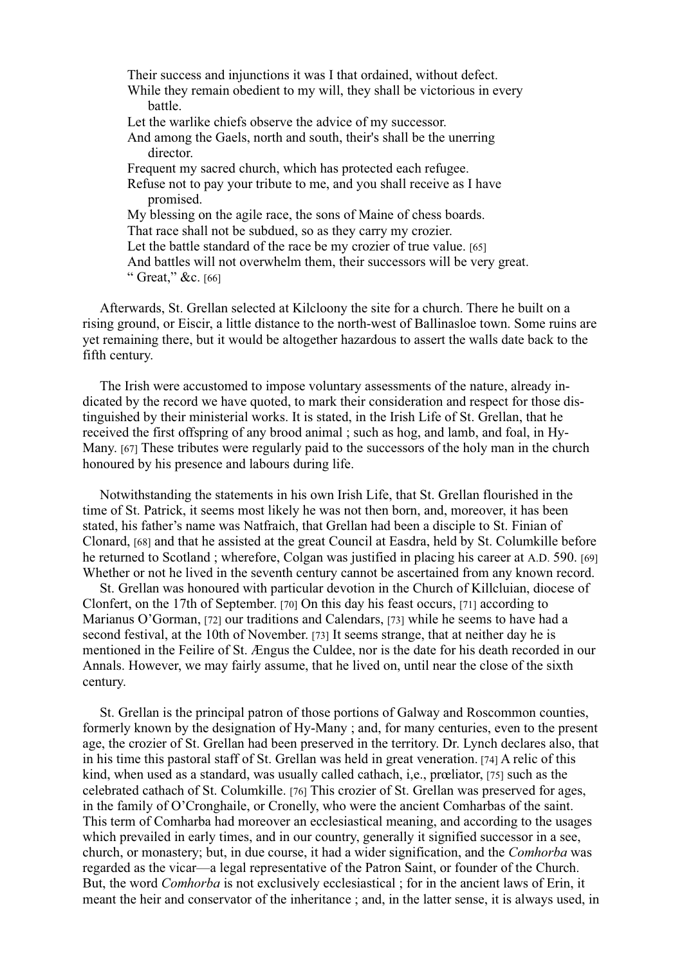Their success and injunctions it was I that ordained, without defect. While they remain obedient to my will, they shall be victorious in every battle. Let the warlike chiefs observe the advice of my successor. And among the Gaels, north and south, their's shall be the unerring director. Frequent my sacred church, which has protected each refugee. Refuse not to pay your tribute to me, and you shall receive as I have promised. My blessing on the agile race, the sons of Maine of chess boards. That race shall not be subdued, so as they carry my crozier. Let the battle standard of the race be my crozier of true value. [65] And battles will not overwhelm them, their successors will be very great. " Great," &c. [66]

Afterwards, St. Grellan selected at Kilcloony the site for a church. There he built on a rising ground, or Eiscir, a little distance to the north-west of Ballinasloe town. Some ruins are yet remaining there, but it would be altogether hazardous to assert the walls date back to the fifth century.

The Irish were accustomed to impose voluntary assessments of the nature, already indicated by the record we have quoted, to mark their consideration and respect for those distinguished by their ministerial works. It is stated, in the Irish Life of St. Grellan, that he received the first offspring of any brood animal ; such as hog, and lamb, and foal, in Hy-Many. [67] These tributes were regularly paid to the successors of the holy man in the church honoured by his presence and labours during life.

Notwithstanding the statements in his own Irish Life, that St. Grellan flourished in the time of St. Patrick, it seems most likely he was not then born, and, moreover, it has been stated, his father's name was Natfraich, that Grellan had been a disciple to St. Finian of Clonard, [68] and that he assisted at the great Council at Easdra, held by St. Columkille before he returned to Scotland ; wherefore, Colgan was justified in placing his career at A.D. 590. [69] Whether or not he lived in the seventh century cannot be ascertained from any known record.

St. Grellan was honoured with particular devotion in the Church of Killcluian, diocese of Clonfert, on the 17th of September. [70] On this day his feast occurs, [71] according to Marianus O'Gorman, [72] our traditions and Calendars, [73] while he seems to have had a second festival, at the 10th of November. [73] It seems strange, that at neither day he is mentioned in the Feilire of St. Ængus the Culdee, nor is the date for his death recorded in our Annals. However, we may fairly assume, that he lived on, until near the close of the sixth century.

St. Grellan is the principal patron of those portions of Galway and Roscommon counties, formerly known by the designation of Hy-Many ; and, for many centuries, even to the present age, the crozier of St. Grellan had been preserved in the territory. Dr. Lynch declares also, that in his time this pastoral staff of St. Grellan was held in great veneration. [74] A relic of this kind, when used as a standard, was usually called cathach, i,e., prœliator, [75] such as the celebrated cathach of St. Columkille. [76] This crozier of St. Grellan was preserved for ages, in the family of O'Cronghaile, or Cronelly, who were the ancient Comharbas of the saint. This term of Comharba had moreover an ecclesiastical meaning, and according to the usages which prevailed in early times, and in our country, generally it signified successor in a see, church, or monastery; but, in due course, it had a wider signification, and the *Comhorba* was regarded as the vicar—a legal representative of the Patron Saint, or founder of the Church. But, the word *Comhorba* is not exclusively ecclesiastical ; for in the ancient laws of Erin, it meant the heir and conservator of the inheritance ; and, in the latter sense, it is always used, in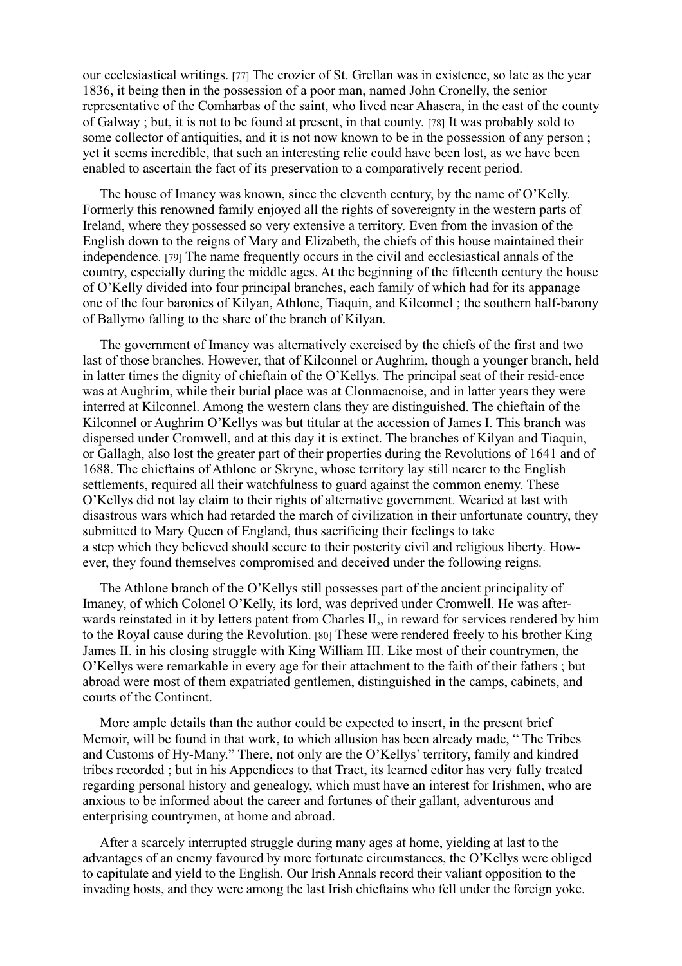our ecclesiastical writings. [77] The crozier of St. Grellan was in existence, so late as the year 1836, it being then in the possession of a poor man, named John Cronelly, the senior representative of the Comharbas of the saint, who lived near Ahascra, in the east of the county of Galway ; but, it is not to be found at present, in that county. [78] It was probably sold to some collector of antiquities, and it is not now known to be in the possession of any person ; yet it seems incredible, that such an interesting relic could have been lost, as we have been enabled to ascertain the fact of its preservation to a comparatively recent period.

The house of Imaney was known, since the eleventh century, by the name of O'Kelly. Formerly this renowned family enjoyed all the rights of sovereignty in the western parts of Ireland, where they possessed so very extensive a territory. Even from the invasion of the English down to the reigns of Mary and Elizabeth, the chiefs of this house maintained their independence. [79] The name frequently occurs in the civil and ecclesiastical annals of the country, especially during the middle ages. At the beginning of the fifteenth century the house of O'Kelly divided into four principal branches, each family of which had for its appanage one of the four baronies of Kilyan, Athlone, Tiaquin, and Kilconnel ; the southern half-barony of Ballymo falling to the share of the branch of Kilyan.

The government of Imaney was alternatively exercised by the chiefs of the first and two last of those branches. However, that of Kilconnel or Aughrim, though a younger branch, held in latter times the dignity of chieftain of the O'Kellys. The principal seat of their resid-ence was at Aughrim, while their burial place was at Clonmacnoise, and in latter years they were interred at Kilconnel. Among the western clans they are distinguished. The chieftain of the Kilconnel or Aughrim O'Kellys was but titular at the accession of James I. This branch was dispersed under Cromwell, and at this day it is extinct. The branches of Kilyan and Tiaquin, or Gallagh, also lost the greater part of their properties during the Revolutions of 1641 and of 1688. The chieftains of Athlone or Skryne, whose territory lay still nearer to the English settlements, required all their watchfulness to guard against the common enemy. These O'Kellys did not lay claim to their rights of alternative government. Wearied at last with disastrous wars which had retarded the march of civilization in their unfortunate country, they submitted to Mary Queen of England, thus sacrificing their feelings to take a step which they believed should secure to their posterity civil and religious liberty. However, they found themselves compromised and deceived under the following reigns.

The Athlone branch of the O'Kellys still possesses part of the ancient principality of Imaney, of which Colonel O'Kelly, its lord, was deprived under Cromwell. He was afterwards reinstated in it by letters patent from Charles II,, in reward for services rendered by him to the Royal cause during the Revolution. [80] These were rendered freely to his brother King James II. in his closing struggle with King William III. Like most of their countrymen, the O'Kellys were remarkable in every age for their attachment to the faith of their fathers ; but abroad were most of them expatriated gentlemen, distinguished in the camps, cabinets, and courts of the Continent.

More ample details than the author could be expected to insert, in the present brief Memoir, will be found in that work, to which allusion has been already made, " The Tribes and Customs of Hy-Many." There, not only are the O'Kellys' territory, family and kindred tribes recorded ; but in his Appendices to that Tract, its learned editor has very fully treated regarding personal history and genealogy, which must have an interest for Irishmen, who are anxious to be informed about the career and fortunes of their gallant, adventurous and enterprising countrymen, at home and abroad.

After a scarcely interrupted struggle during many ages at home, yielding at last to the advantages of an enemy favoured by more fortunate circumstances, the O'Kellys were obliged to capitulate and yield to the English. Our Irish Annals record their valiant opposition to the invading hosts, and they were among the last Irish chieftains who fell under the foreign yoke.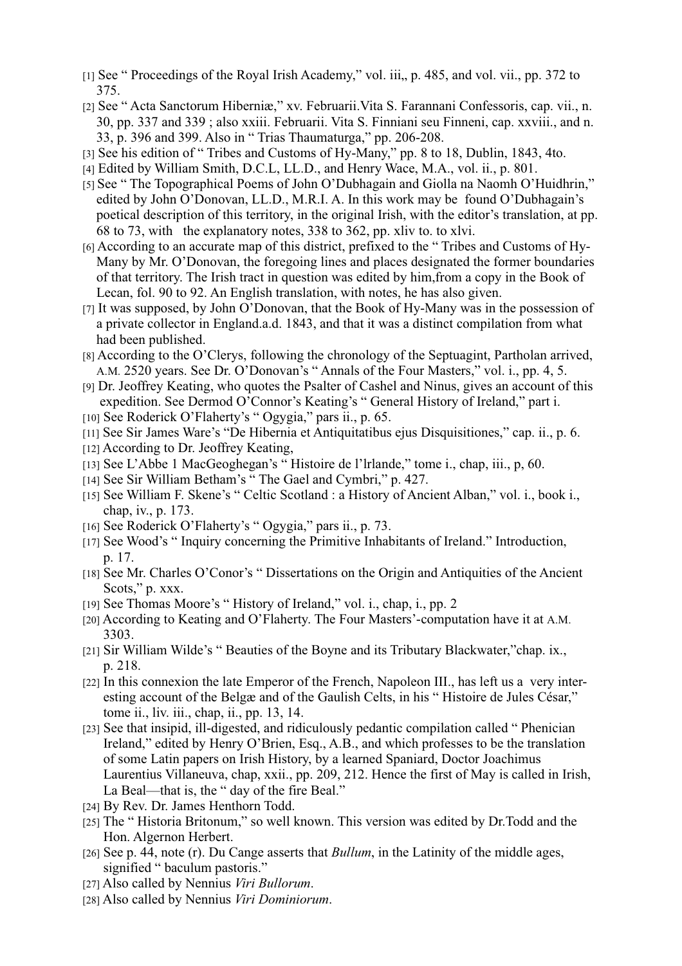- [1] See " Proceedings of the Royal Irish Academy," vol. iii,, p. 485, and vol. vii., pp. 372 to 375.
- [2] See " Acta Sanctorum Hiberniæ," xv. Februarii.Vita S. Farannani Confessoris, cap. vii., n. 30, pp. 337 and 339 ; also xxiii. Februarii. Vita S. Finniani seu Finneni, cap. xxviii., and n. 33, p. 396 and 399. Also in " Trias Thaumaturga," pp. 206-208.
- [3] See his edition of " Tribes and Customs of Hy-Many," pp. 8 to 18, Dublin, 1843, 4to.
- [4] Edited by William Smith, D.C.L, LL.D., and Henry Wace, M.A., vol. ii., p. 801.
- [5] See " The Topographical Poems of John O'Dubhagain and Giolla na Naomh O'Huidhrin," edited by John O'Donovan, LL.D., M.R.I. A. In this work may be found O'Dubhagain's poetical description of this territory, in the original Irish, with the editor's translation, at pp. 68 to 73, with the explanatory notes, 338 to 362, pp. xliv to. to xlvi.
- [6] According to an accurate map of this district, prefixed to the " Tribes and Customs of Hy-Many by Mr. O'Donovan, the foregoing lines and places designated the former boundaries of that territory. The Irish tract in question was edited by him,from a copy in the Book of Lecan, fol. 90 to 92. An English translation, with notes, he has also given.
- [7] It was supposed, by John O'Donovan, that the Book of Hy-Many was in the possession of a private collector in England.a.d. 1843, and that it was a distinct compilation from what had been published.
- [8] According to the O'Clerys, following the chronology of the Septuagint, Partholan arrived, A.M. 2520 years. See Dr. O'Donovan's " Annals of the Four Masters," vol. i., pp. 4, 5.
- [9] Dr. Jeoffrey Keating, who quotes the Psalter of Cashel and Ninus, gives an account of this expedition. See Dermod O'Connor's Keating's " General History of Ireland," part i.
- [10] See Roderick O'Flaherty's " Ogygia," pars ii., p. 65.
- [11] See Sir James Ware's "De Hibernia et Antiquitatibus ejus Disquisitiones," cap. ii., p. 6.
- [12] According to Dr. Jeoffrey Keating,
- [13] See L'Abbe 1 MacGeoghegan's " Histoire de l'lrlande," tome i., chap, iii., p, 60.
- [14] See Sir William Betham's " The Gael and Cymbri," p. 427.
- [15] See William F. Skene's " Celtic Scotland : a History of Ancient Alban," vol. i., book i., chap, iv., p. 173.
- [16] See Roderick O'Flaherty's " Ogygia," pars ii., p. 73.
- [17] See Wood's " Inquiry concerning the Primitive Inhabitants of Ireland." Introduction, p. 17.
- [18] See Mr. Charles O'Conor's " Dissertations on the Origin and Antiquities of the Ancient Scots," p. xxx.
- [19] See Thomas Moore's " History of Ireland," vol. i., chap, i., pp. 2
- [20] According to Keating and O'Flaherty. The Four Masters'-computation have it at A.M. 3303.
- [21] Sir William Wilde's " Beauties of the Boyne and its Tributary Blackwater,"chap. ix., p. 218.
- [22] In this connexion the late Emperor of the French, Napoleon III., has left us a very interesting account of the Belgæ and of the Gaulish Celts, in his " Histoire de Jules César," tome ii., liv. iii., chap, ii., pp. 13, 14.
- [23] See that insipid, ill-digested, and ridiculously pedantic compilation called " Phenician Ireland," edited by Henry O'Brien, Esq., A.B., and which professes to be the translation of some Latin papers on Irish History, by a learned Spaniard, Doctor Joachimus Laurentius Villaneuva, chap, xxii., pp. 209, 212. Hence the first of May is called in Irish, La Beal—that is, the " day of the fire Beal."
- [24] By Rev. Dr. James Henthorn Todd.
- [25] The " Historia Britonum," so well known. This version was edited by Dr.Todd and the Hon. Algernon Herbert.
- [26] See p. 44, note (r). Du Cange asserts that *Bullum*, in the Latinity of the middle ages, signified " baculum pastoris."
- [27] Also called by Nennius *Viri Bullorum*.
- [28] Also called by Nennius *Viri Dominiorum*.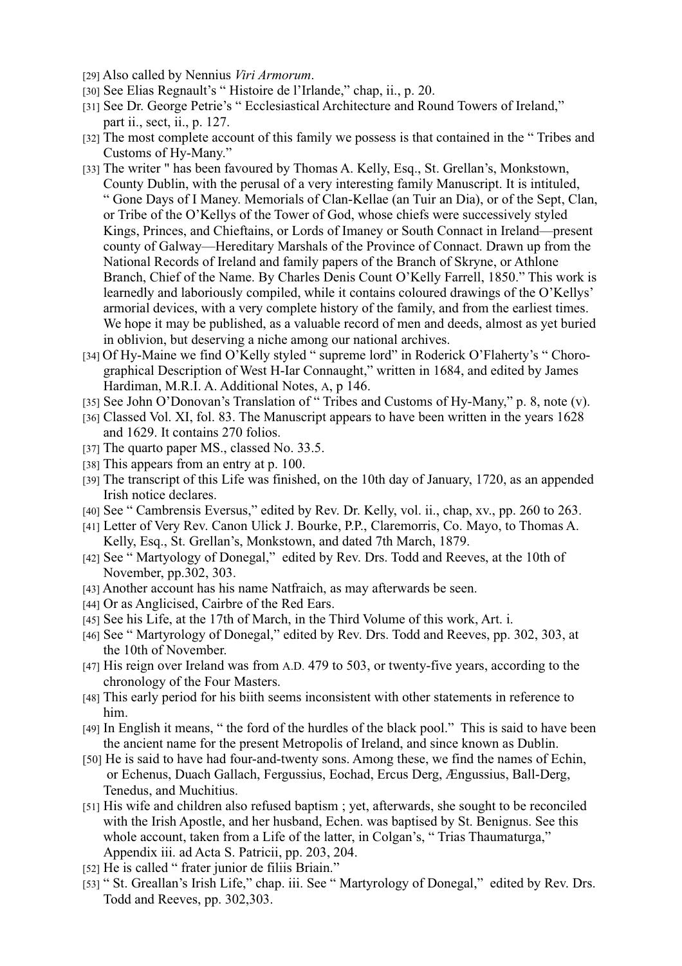- [29] Also called by Nennius *Viri Armorum*.
- [30] See Elias Regnault's " Histoire de l'Irlande," chap, ii., p. 20.
- [31] See Dr. George Petrie's " Ecclesiastical Architecture and Round Towers of Ireland," part ii., sect, ii., p. 127.
- [32] The most complete account of this family we possess is that contained in the " Tribes and Customs of Hy-Many."
- [33] The writer " has been favoured by Thomas A. Kelly, Esq., St. Grellan's, Monkstown, County Dublin, with the perusal of a very interesting family Manuscript. It is intituled, " Gone Days of I Maney. Memorials of Clan-Kellae (an Tuir an Dia), or of the Sept, Clan, or Tribe of the O'Kellys of the Tower of God, whose chiefs were successively styled Kings, Princes, and Chieftains, or Lords of Imaney or South Connact in Ireland—present county of Galway—Hereditary Marshals of the Province of Connact. Drawn up from the National Records of Ireland and family papers of the Branch of Skryne, or Athlone Branch, Chief of the Name. By Charles Denis Count O'Kelly Farrell, 1850." This work is learnedly and laboriously compiled, while it contains coloured drawings of the O'Kellys' armorial devices, with a very complete history of the family, and from the earliest times. We hope it may be published, as a valuable record of men and deeds, almost as yet buried in oblivion, but deserving a niche among our national archives.
- [34] Of Hy-Maine we find O'Kelly styled " supreme lord" in Roderick O'Flaherty's " Chorographical Description of West H-Iar Connaught," written in 1684, and edited by James Hardiman, M.R.I. A. Additional Notes, A, p 146.
- [35] See John O'Donovan's Translation of " Tribes and Customs of Hy-Many," p. 8, note (v).
- [36] Classed Vol. XI, fol. 83. The Manuscript appears to have been written in the years 1628 and 1629. It contains 270 folios.
- [37] The quarto paper MS., classed No. 33.5.
- [38] This appears from an entry at p. 100.
- [39] The transcript of this Life was finished, on the 10th day of January, 1720, as an appended Irish notice declares.
- [40] See " Cambrensis Eversus," edited by Rev. Dr. Kelly, vol. ii., chap, xv., pp. 260 to 263.
- [41] Letter of Very Rev. Canon Ulick J. Bourke, P.P., Claremorris, Co. Mayo, to Thomas A. Kelly, Esq., St. Grellan's, Monkstown, and dated 7th March, 1879.
- [42] See " Martyology of Donegal," edited by Rev. Drs. Todd and Reeves, at the 10th of November, pp.302, 303.
- [43] Another account has his name Natfraich, as may afterwards be seen.
- [44] Or as Anglicised, Cairbre of the Red Ears.
- [45] See his Life, at the 17th of March, in the Third Volume of this work, Art. i.
- [46] See " Martyrology of Donegal," edited by Rev. Drs. Todd and Reeves, pp. 302, 303, at the 10th of November.
- [47] His reign over Ireland was from A.D. 479 to 503, or twenty-five years, according to the chronology of the Four Masters.
- [48] This early period for his biith seems inconsistent with other statements in reference to him.
- [49] In English it means, " the ford of the hurdles of the black pool." This is said to have been the ancient name for the present Metropolis of Ireland, and since known as Dublin.
- [50] He is said to have had four-and-twenty sons. Among these, we find the names of Echin, or Echenus, Duach Gallach, Fergussius, Eochad, Ercus Derg, Ængussius, Ball-Derg, Tenedus, and Muchitius.
- [51] His wife and children also refused baptism ; yet, afterwards, she sought to be reconciled with the Irish Apostle, and her husband, Echen. was baptised by St. Benignus. See this whole account, taken from a Life of the latter, in Colgan's, "Trias Thaumaturga," Appendix iii. ad Acta S. Patricii, pp. 203, 204.
- [52] He is called " frater junior de filiis Briain."
- [53] " St. Greallan's Irish Life," chap. iii. See " Martyrology of Donegal," edited by Rev. Drs. Todd and Reeves, pp. 302,303.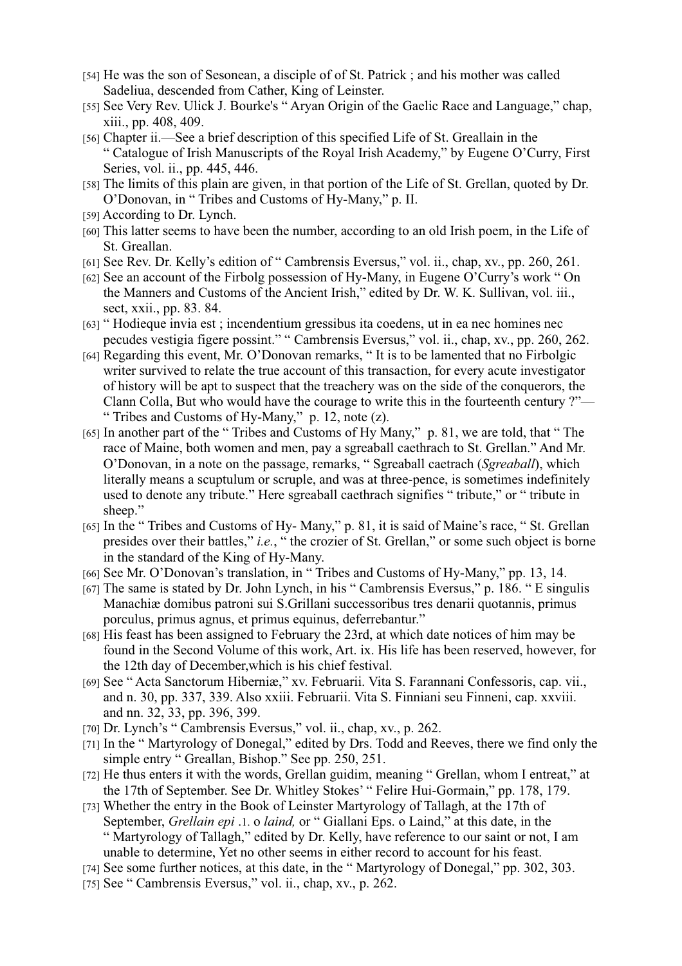- [54] He was the son of Sesonean, a disciple of of St. Patrick ; and his mother was called Sadeliua, descended from Cather, King of Leinster.
- [55] See Very Rev. Ulick J. Bourke's "Aryan Origin of the Gaelic Race and Language," chap, xiii., pp. 408, 409.
- [56] Chapter ii.—See a brief description of this specified Life of St. Greallain in the " Catalogue of Irish Manuscripts of the Royal Irish Academy," by Eugene O'Curry, First Series, vol. ii., pp. 445, 446.
- [58] The limits of this plain are given, in that portion of the Life of St. Grellan, quoted by Dr. O'Donovan, in " Tribes and Customs of Hy-Many," p. II.
- [59] According to Dr. Lynch.
- [60] This latter seems to have been the number, according to an old Irish poem, in the Life of St. Greallan.
- [61] See Rev. Dr. Kelly's edition of " Cambrensis Eversus," vol. ii., chap, xv., pp. 260, 261.
- [62] See an account of the Firbolg possession of Hy-Many, in Eugene O'Curry's work " On the Manners and Customs of the Ancient Irish," edited by Dr. W. K. Sullivan, vol. iii., sect, xxii., pp. 83. 84.
- [63] " Hodieque invia est ; incendentium gressibus ita coedens, ut in ea nec homines nec pecudes vestigia figere possint." " Cambrensis Eversus," vol. ii., chap, xv., pp. 260, 262.
- [64] Regarding this event, Mr. O'Donovan remarks, " It is to be lamented that no Firbolgic writer survived to relate the true account of this transaction, for every acute investigator of history will be apt to suspect that the treachery was on the side of the conquerors, the Clann Colla, But who would have the courage to write this in the fourteenth century ?"— " Tribes and Customs of Hy-Many," p. 12, note (z).
- [65] In another part of the " Tribes and Customs of Hy Many," p. 81, we are told, that " The race of Maine, both women and men, pay a sgreaball caethrach to St. Grellan." And Mr. O'Donovan, in a note on the passage, remarks, " Sgreaball caetrach (*Sgreaball*), which literally means a scuptulum or scruple, and was at three-pence, is sometimes indefinitely used to denote any tribute." Here sgreaball caethrach signifies " tribute," or " tribute in sheep."
- [65] In the "Tribes and Customs of Hy- Many," p. 81, it is said of Maine's race, "St. Grellan presides over their battles," *i.e.*, " the crozier of St. Grellan," or some such object is borne in the standard of the King of Hy-Many.
- [66] See Mr. O'Donovan's translation, in "Tribes and Customs of Hy-Many," pp. 13, 14.
- [67] The same is stated by Dr. John Lynch, in his " Cambrensis Eversus," p. 186. " E singulis Manachiæ domibus patroni sui S.Grillani successoribus tres denarii quotannis, primus porculus, primus agnus, et primus equinus, deferrebantur."
- [68] His feast has been assigned to February the 23rd, at which date notices of him may be found in the Second Volume of this work, Art. ix. His life has been reserved, however, for the 12th day of December,which is his chief festival.
- [69] See " Acta Sanctorum Hiberniæ," xv. Februarii. Vita S. Farannani Confessoris, cap. vii., and n. 30, pp. 337, 339. Also xxiii. Februarii. Vita S. Finniani seu Finneni, cap. xxviii. and nn. 32, 33, pp. 396, 399.
- [70] Dr. Lynch's " Cambrensis Eversus," vol. ii., chap, xv., p. 262.
- [71] In the "Martyrology of Donegal," edited by Drs. Todd and Reeves, there we find only the simple entry " Greallan, Bishop." See pp. 250, 251.
- [72] He thus enters it with the words, Grellan guidim, meaning " Grellan, whom I entreat," at the 17th of September. See Dr. Whitley Stokes' " Felire Hui-Gormain," pp. 178, 179.
- [73] Whether the entry in the Book of Leinster Martyrology of Tallagh, at the 17th of September, *Grellain epi* .1. o *laind,* or " Giallani Eps. o Laind," at this date, in the " Martyrology of Tallagh," edited by Dr. Kelly, have reference to our saint or not, I am unable to determine, Yet no other seems in either record to account for his feast.
- [74] See some further notices, at this date, in the "Martyrology of Donegal," pp. 302, 303.
- [75] See " Cambrensis Eversus," vol. ii., chap, xv., p. 262.